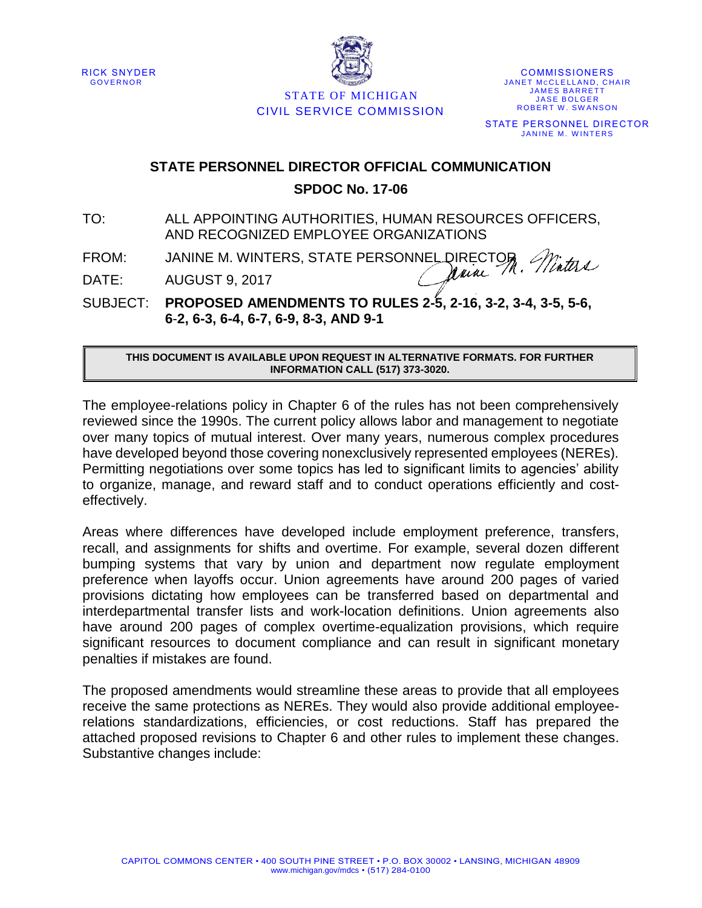



STATE OF MICHIGAN CIVIL SERVICE COMMISSION

**COMMISSIONERS** JANET MCCLELLAND, CHAIR **JAMES BARRETT JASE BOLGER** ROBERT W. SWANSON STATE PERSONNEL DIRECTOR JANINE M. WINTERS

## **STATE PERSONNEL DIRECTOR OFFICIAL COMMUNICATION SPDOC No. 17-06**

TO: ALL APPOINTING AUTHORITIES, HUMAN RESOURCES OFFICERS, AND RECOGNIZED EMPLOYEE ORGANIZATIONS

FROM: JANINE M. WINTERS, STATE PERSONNEL DIRECTOR

DATE: AUGUST 9, 2017

SUBJECT: **PROPOSED AMENDMENTS TO RULES 2-5, 2-16, 3-2, 3-4, 3-5, 5-6, 6**-**2, 6-3, 6-4, 6-7, 6-9, 8-3, AND 9-1**

**THIS DOCUMENT IS AVAILABLE UPON REQUEST IN ALTERNATIVE FORMATS. FOR FURTHER INFORMATION CALL (517) 373-3020.**

The employee-relations policy in Chapter 6 of the rules has not been comprehensively reviewed since the 1990s. The current policy allows labor and management to negotiate over many topics of mutual interest. Over many years, numerous complex procedures have developed beyond those covering nonexclusively represented employees (NEREs). Permitting negotiations over some topics has led to significant limits to agencies' ability to organize, manage, and reward staff and to conduct operations efficiently and costeffectively.

Areas where differences have developed include employment preference, transfers, recall, and assignments for shifts and overtime. For example, several dozen different bumping systems that vary by union and department now regulate employment preference when layoffs occur. Union agreements have around 200 pages of varied provisions dictating how employees can be transferred based on departmental and interdepartmental transfer lists and work-location definitions. Union agreements also have around 200 pages of complex overtime-equalization provisions, which require significant resources to document compliance and can result in significant monetary penalties if mistakes are found.

The proposed amendments would streamline these areas to provide that all employees receive the same protections as NEREs. They would also provide additional employeerelations standardizations, efficiencies, or cost reductions. Staff has prepared the attached proposed revisions to Chapter 6 and other rules to implement these changes. Substantive changes include: